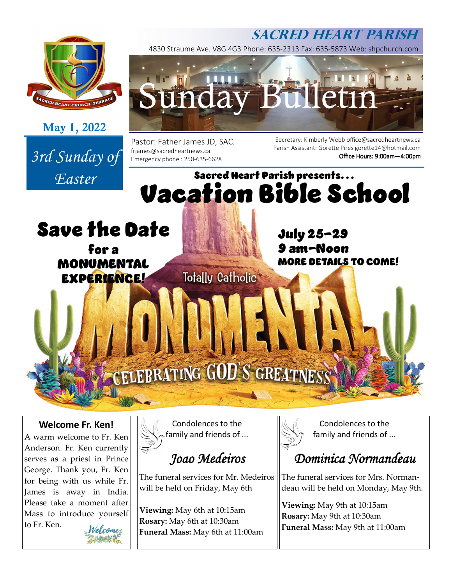## **SACRED HEART PARISH**



**May 1, 2022** 

*Easter* 



4830 Straume Ave. V8G 4G3 Phone: 635-2313 Fax: 635-5873 Web: shpchurch.com

Pastor: Father James JD, SAC. 3rd Sunday of <sup>frjames@sacredheartnews.ca</sup><br>Emergency phone : 250-635-6628

Secretary: Kimberly Webb office@sacredheartnews.ca Parish Assistant: Gorette Pires gorette14@hotmail.com Office Hours: 9:00am-4:00pm

# Sacred Heart Parish presents... Vacation Bible School

Save the Date

for a MONUMENTAL EXPERIENCE!

July 25-29 9 am-Noon MORE DETAILS TO COME!

# CELEBRATING GOD'S GREATNESS

**Totally Catholic** 

## **Welcome Fr. Ken!**

A warm welcome to Fr. Ken Anderson. Fr. Ken currently serves as a priest in Prince George. Thank you, Fr. Ken for being with us while Fr. James is away in India. Please take a moment after Mass to introduce yourself to Fr. Ken.



Condolences to the family and friends of ...

# *Joao Medeiros*

The funeral services for Mr. Medeiros will be held on Friday, May 6th

**Viewing:** May 6th at 10:15am **Rosary:** May 6th at 10:30am **Funeral Mass:** May 6th at 11:00am



Condolences to the family and friends of ...

## *Dominica Normandeau*

The funeral services for Mrs. Normandeau will be held on Monday, May 9th.

**Viewing:** May 9th at 10:15am **Rosary:** May 9th at 10:30am **Funeral Mass:** May 9th at 11:00am